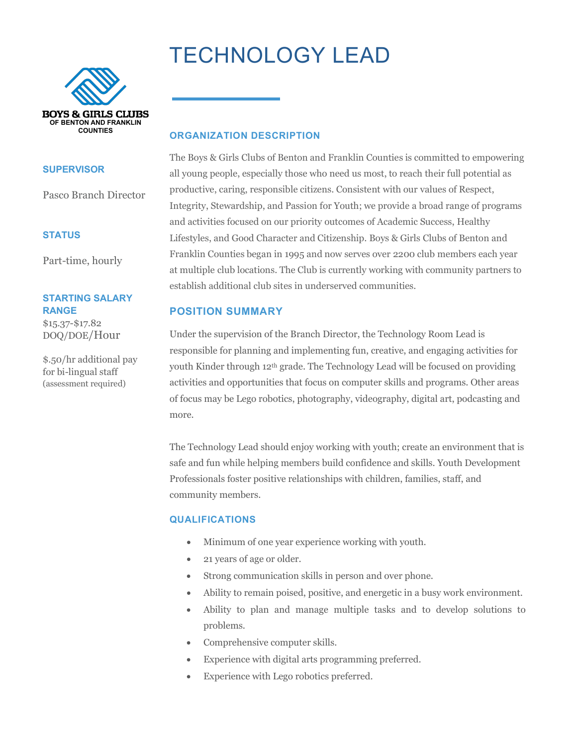# TECHNOLOGY LEAD



#### **SUPERVISOR**

Pasco Branch Director

#### **STATUS**

Part-time, hourly

# **STARTING SALARY RANGE**

\$15.37-\$17.82 DOQ/DOE/Hour

\$.50/hr additional pay for bi-lingual staff (assessment required)

#### **ORGANIZATION DESCRIPTION**

The Boys & Girls Clubs of Benton and Franklin Counties is committed to empowering all young people, especially those who need us most, to reach their full potential as productive, caring, responsible citizens. Consistent with our values of Respect, Integrity, Stewardship, and Passion for Youth; we provide a broad range of programs and activities focused on our priority outcomes of Academic Success, Healthy Lifestyles, and Good Character and Citizenship. Boys & Girls Clubs of Benton and Franklin Counties began in 1995 and now serves over 2200 club members each year at multiple club locations. The Club is currently working with community partners to establish additional club sites in underserved communities.

### **POSITION SUMMARY**

Under the supervision of the Branch Director, the Technology Room Lead is responsible for planning and implementing fun, creative, and engaging activities for youth Kinder through 12th grade. The Technology Lead will be focused on providing activities and opportunities that focus on computer skills and programs. Other areas of focus may be Lego robotics, photography, videography, digital art, podcasting and more.

The Technology Lead should enjoy working with youth; create an environment that is safe and fun while helping members build confidence and skills. Youth Development Professionals foster positive relationships with children, families, staff, and community members.

### **QUALIFICATIONS**

- Minimum of one year experience working with youth.
- 21 years of age or older.
- Strong communication skills in person and over phone.
- Ability to remain poised, positive, and energetic in a busy work environment.
- Ability to plan and manage multiple tasks and to develop solutions to problems.
- Comprehensive computer skills.
- Experience with digital arts programming preferred.
- Experience with Lego robotics preferred.